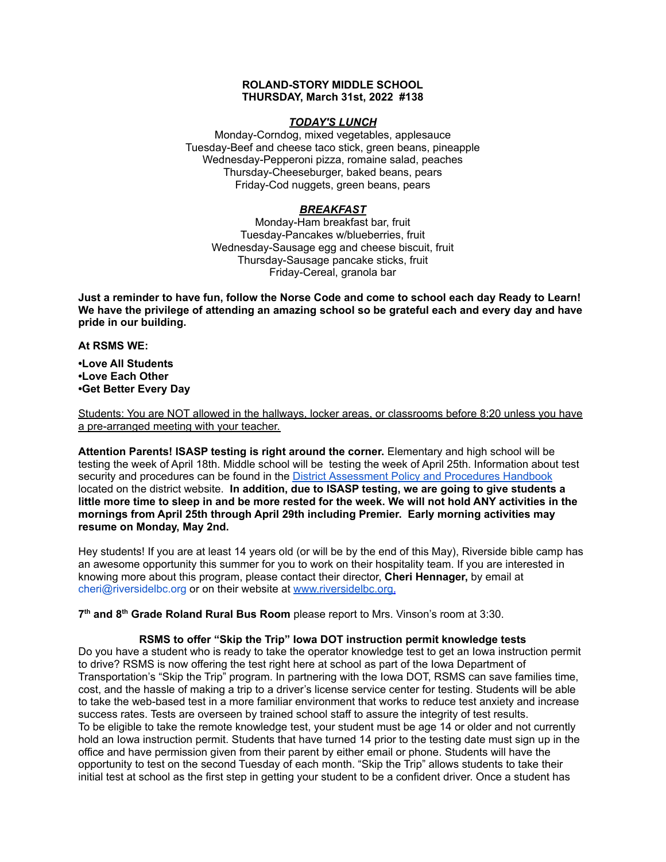# **ROLAND-STORY MIDDLE SCHOOL THURSDAY, March 31st, 2022 #138**

# *TODAY'S LUNCH*

Monday-Corndog, mixed vegetables, applesauce Tuesday-Beef and cheese taco stick, green beans, pineapple Wednesday-Pepperoni pizza, romaine salad, peaches Thursday-Cheeseburger, baked beans, pears Friday-Cod nuggets, green beans, pears

# *BREAKFAST*

Monday-Ham breakfast bar, fruit Tuesday-Pancakes w/blueberries, fruit Wednesday-Sausage egg and cheese biscuit, fruit Thursday-Sausage pancake sticks, fruit Friday-Cereal, granola bar

Just a reminder to have fun, follow the Norse Code and come to school each day Ready to Learn! **We have the privilege of attending an amazing school so be grateful each and every day and have pride in our building.**

### **At RSMS WE:**

**•Love All Students •Love Each Other •Get Better Every Day**

Students: You are NOT allowed in the hallways, locker areas, or classrooms before 8:20 unless you have a pre-arranged meeting with your teacher.

**Attention Parents! ISASP testing is right around the corner.** Elementary and high school will be testing the week of April 18th. Middle school will be testing the week of April 25th. Information about test security and procedures can be found in the District [Assessment](https://rolandstory.school/media/Michelle%20Soderstrum/RSCSD_District_Assessment_Poli%20-%20Copy%203.pdf) Policy and Procedures Handbook located on the district website. **In addition, due to ISASP testing, we are going to give students a** little more time to sleep in and be more rested for the week. We will not hold ANY activities in the **mornings from April 25th through April 29th including Premier. Early morning activities may resume on Monday, May 2nd.**

Hey students! If you are at least 14 years old (or will be by the end of this May), Riverside bible camp has an awesome opportunity this summer for you to work on their hospitality team. If you are interested in knowing more about this program, please contact their director, **Cheri Hennager,** by email at cheri@riversidelbc.org or on their website at [www.riversidelbc.org.](http://www.riversidelbc.org/)

**7 th and 8 th Grade Roland Rural Bus Room** please report to Mrs. Vinson's room at 3:30.

### **RSMS to offer "Skip the Trip" Iowa DOT instruction permit knowledge tests**

Do you have a student who is ready to take the operator knowledge test to get an Iowa instruction permit to drive? RSMS is now offering the test right here at school as part of the Iowa Department of Transportation's "Skip the Trip" program. In partnering with the Iowa DOT, RSMS can save families time, cost, and the hassle of making a trip to a driver's license service center for testing. Students will be able to take the web-based test in a more familiar environment that works to reduce test anxiety and increase success rates. Tests are overseen by trained school staff to assure the integrity of test results. To be eligible to take the remote knowledge test, your student must be age 14 or older and not currently hold an Iowa instruction permit. Students that have turned 14 prior to the testing date must sign up in the office and have permission given from their parent by either email or phone. Students will have the opportunity to test on the second Tuesday of each month. "Skip the Trip" allows students to take their initial test at school as the first step in getting your student to be a confident driver. Once a student has